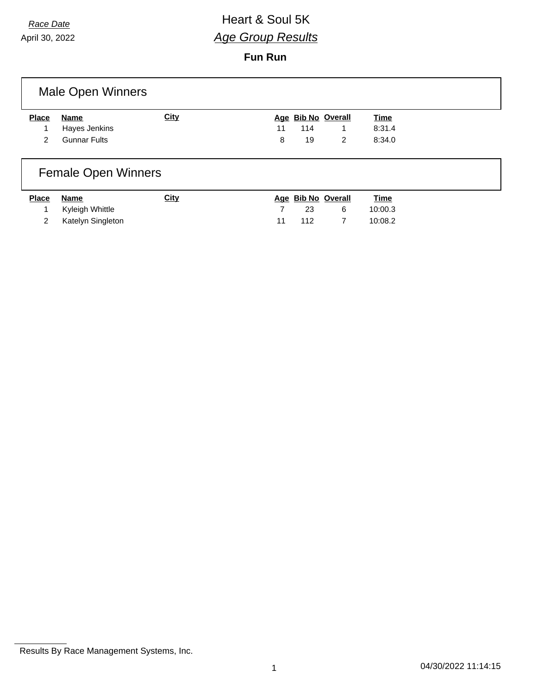April 30, 2022

# *Race Date* **All Access 2008 Heart & Soul 5K** *Age Group Results*

#### **Fun Run**

|               | <b>Male Open Winners</b> |      |    |     |                    |             |  |
|---------------|--------------------------|------|----|-----|--------------------|-------------|--|
| <b>Place</b>  | Name                     | City |    |     | Age Bib No Overall | <b>Time</b> |  |
|               | Hayes Jenkins            |      | 11 | 114 |                    | 8:31.4      |  |
| $\mathcal{P}$ | <b>Gunnar Fults</b>      |      | 8  | 19  | 2                  | 8:34.0      |  |
|               |                          |      |    |     |                    |             |  |

# Female Open Winners

| <b>Place</b> | Name                | <u>City</u> |    |      | Age Bib No Overall | <u>Time</u> |
|--------------|---------------------|-------------|----|------|--------------------|-------------|
|              | 1 Kyleigh Whittle   |             |    | 23.  | - 6                | 10:00.3     |
|              | 2 Katelyn Singleton |             | 11 | -112 |                    | 10:08.2     |

Results By Race Management Systems, Inc.